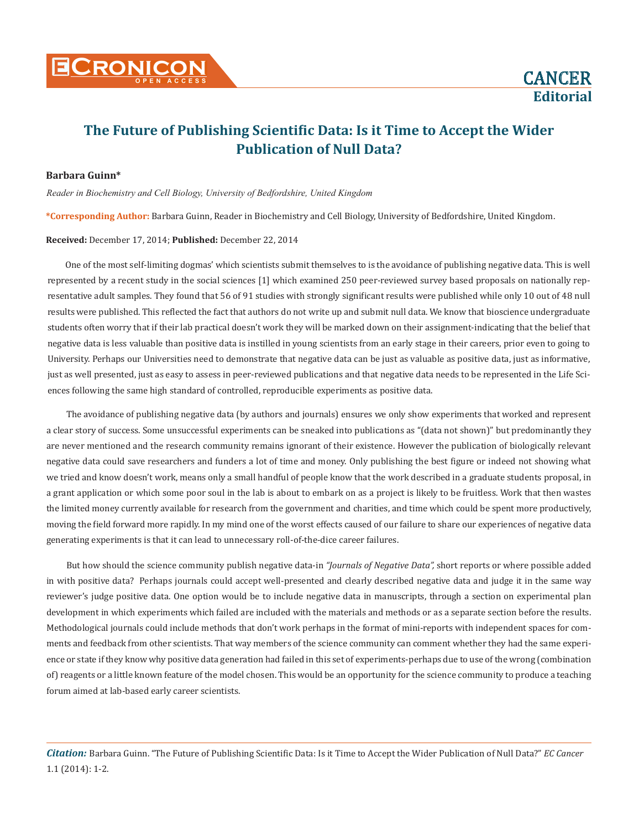**Editorial**

# **The Future of Publishing Scientific Data: Is it Time to Accept the Wider Publication of Null Data?**

#### **Barbara Guinn\***

*Reader in Biochemistry and Cell Biology, University of Bedfordshire, United Kingdom*

**\*Corresponding Author:** Barbara Guinn, Reader in Biochemistry and Cell Biology, University of Bedfordshire, United Kingdom.

#### **Received:** December 17, 2014; **Published:** December 22, 2014

One of the most self-limiting dogmas' which scientists submit themselves to is the avoidance of publishing negative data. This is well represented by a recent study in the social sciences [1] which examined 250 peer-reviewed survey based proposals on nationally representative adult samples. They found that 56 of 91 studies with strongly significant results were published while only 10 out of 48 null results were published. This reflected the fact that authors do not write up and submit null data. We know that bioscience undergraduate students often worry that if their lab practical doesn't work they will be marked down on their assignment-indicating that the belief that negative data is less valuable than positive data is instilled in young scientists from an early stage in their careers, prior even to going to University. Perhaps our Universities need to demonstrate that negative data can be just as valuable as positive data, just as informative, just as well presented, just as easy to assess in peer-reviewed publications and that negative data needs to be represented in the Life Sciences following the same high standard of controlled, reproducible experiments as positive data.

The avoidance of publishing negative data (by authors and journals) ensures we only show experiments that worked and represent a clear story of success. Some unsuccessful experiments can be sneaked into publications as "(data not shown)" but predominantly they are never mentioned and the research community remains ignorant of their existence. However the publication of biologically relevant negative data could save researchers and funders a lot of time and money. Only publishing the best figure or indeed not showing what we tried and know doesn't work, means only a small handful of people know that the work described in a graduate students proposal, in a grant application or which some poor soul in the lab is about to embark on as a project is likely to be fruitless. Work that then wastes the limited money currently available for research from the government and charities, and time which could be spent more productively, moving the field forward more rapidly. In my mind one of the worst effects caused of our failure to share our experiences of negative data generating experiments is that it can lead to unnecessary roll-of-the-dice career failures.

But how should the science community publish negative data-in *"Journals of Negative Data",* short reports or where possible added in with positive data? Perhaps journals could accept well-presented and clearly described negative data and judge it in the same way reviewer's judge positive data. One option would be to include negative data in manuscripts, through a section on experimental plan development in which experiments which failed are included with the materials and methods or as a separate section before the results. Methodological journals could include methods that don't work perhaps in the format of mini-reports with independent spaces for comments and feedback from other scientists. That way members of the science community can comment whether they had the same experience or state if they know why positive data generation had failed in this set of experiments-perhaps due to use of the wrong (combination of) reagents or a little known feature of the model chosen. This would be an opportunity for the science community to produce a teaching forum aimed at lab-based early career scientists.

*Citation:* Barbara Guinn. "The Future of Publishing Scientific Data: Is it Time to Accept the Wider Publication of Null Data?" *EC Cancer* 1.1 (2014): 1-2.